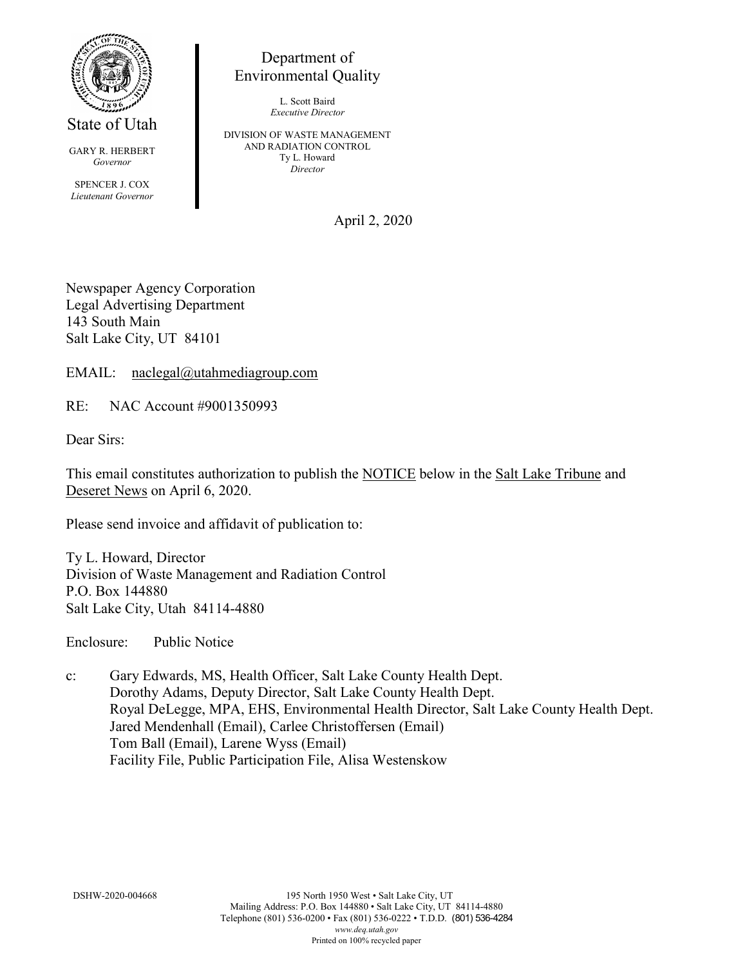

State of Utah

GARY R. HERBERT *Governor* SPENCER J. COX *Lieutenant Governor*

Department of Environmental Quality

> L. Scott Baird *Executive Director*

DIVISION OF WASTE MANAGEMENT AND RADIATION CONTROL Ty L. Howard *Director*

April 2, 2020

Newspaper Agency Corporation Legal Advertising Department 143 South Main Salt Lake City, UT 84101

EMAIL: naclegal@utahmediagroup.com

RE: NAC Account #9001350993

Dear Sirs:

This email constitutes authorization to publish the NOTICE below in the Salt Lake Tribune and Deseret News on April 6, 2020.

Please send invoice and affidavit of publication to:

Ty L. Howard, Director Division of Waste Management and Radiation Control P.O. Box 144880 Salt Lake City, Utah 84114-4880

Enclosure: Public Notice

c: Gary Edwards, MS, Health Officer, Salt Lake County Health Dept. Dorothy Adams, Deputy Director, Salt Lake County Health Dept. Royal DeLegge, MPA, EHS, Environmental Health Director, Salt Lake County Health Dept. Jared Mendenhall (Email), Carlee Christoffersen (Email) Tom Ball (Email), Larene Wyss (Email) Facility File, Public Participation File, Alisa Westenskow